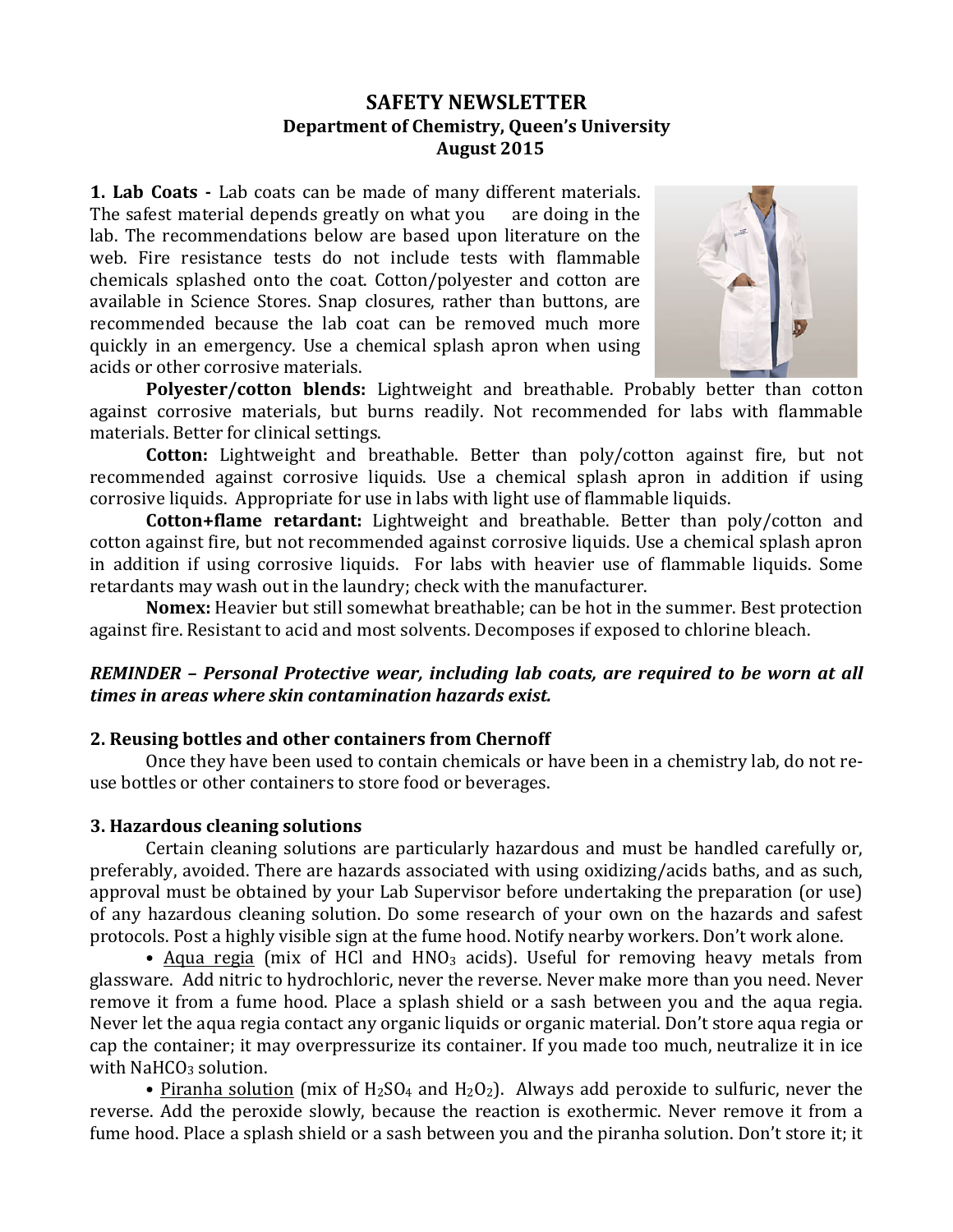## **SAFETY NEWSLETTER Department of Chemistry, Queen's University August 2015**

**1. Lab Coats** - Lab coats can be made of many different materials. The safest material depends greatly on what you are doing in the lab. The recommendations below are based upon literature on the web. Fire resistance tests do not include tests with flammable chemicals splashed onto the coat. Cotton/polyester and cotton are available in Science Stores. Snap closures, rather than buttons, are recommended because the lab coat can be removed much more quickly in an emergency. Use a chemical splash apron when using acids or other corrosive materials.



**Polyester/cotton blends:** Lightweight and breathable. Probably better than cotton against corrosive materials, but burns readily. Not recommended for labs with flammable materials. Better for clinical settings.

**Cotton:** Lightweight and breathable. Better than poly/cotton against fire, but not recommended against corrosive liquids. Use a chemical splash apron in addition if using corrosive liquids. Appropriate for use in labs with light use of flammable liquids.

**Cotton+flame retardant:** Lightweight and breathable. Better than poly/cotton and cotton against fire, but not recommended against corrosive liquids. Use a chemical splash apron in addition if using corrosive liquids. For labs with heavier use of flammable liquids. Some retardants may wash out in the laundry; check with the manufacturer.

**Nomex:** Heavier but still somewhat breathable; can be hot in the summer. Best protection against fire. Resistant to acid and most solvents. Decomposes if exposed to chlorine bleach.

## *REMINDER* – Personal Protective wear, including lab coats, are required to be worn at all *times in areas where skin contamination hazards exist.*

## **2.** Reusing bottles and other containers from Chernoff

Once they have been used to contain chemicals or have been in a chemistry lab, do not reuse bottles or other containers to store food or beverages.

## **3. Hazardous cleaning solutions**

Certain cleaning solutions are particularly hazardous and must be handled carefully or, preferably, avoided. There are hazards associated with using oxidizing/acids baths, and as such, approval must be obtained by your Lab Supervisor before undertaking the preparation (or use) of any hazardous cleaning solution. Do some research of your own on the hazards and safest protocols. Post a highly visible sign at the fume hood. Notify nearby workers. Don't work alone.

• Aqua regia (mix of HCl and  $HNO<sub>3</sub>$  acids). Useful for removing heavy metals from glassware. Add nitric to hydrochloric, never the reverse. Never make more than you need. Never remove it from a fume hood. Place a splash shield or a sash between you and the aqua regia. Never let the aqua regia contact any organic liquids or organic material. Don't store aqua regia or cap the container; it may overpressurize its container. If you made too much, neutralize it in ice with  $NAHCO<sub>3</sub>$  solution.

• Piranha solution (mix of  $H_2SO_4$  and  $H_2O_2$ ). Always add peroxide to sulfuric, never the reverse. Add the peroxide slowly, because the reaction is exothermic. Never remove it from a fume hood. Place a splash shield or a sash between you and the piranha solution. Don't store it; it